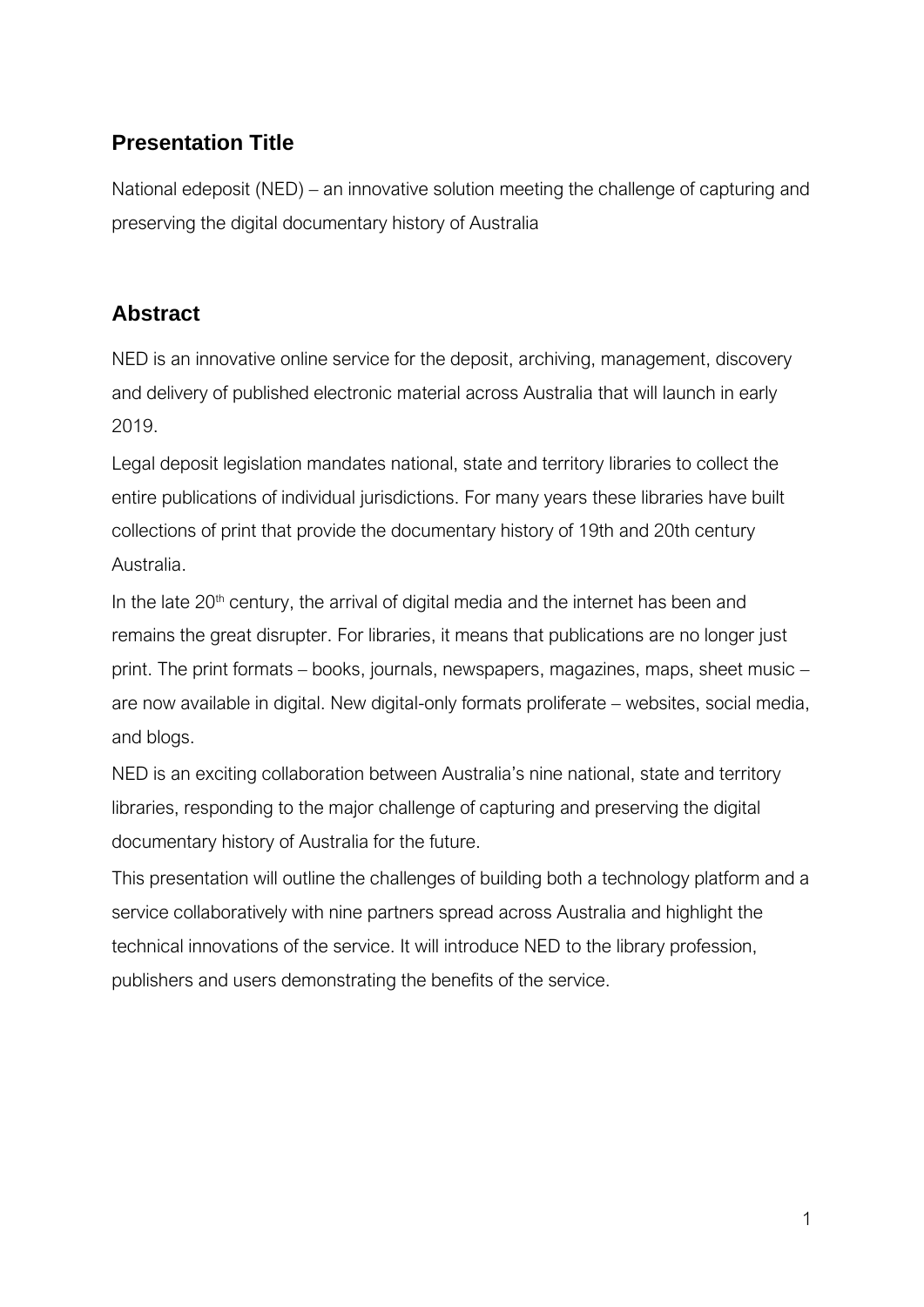## **Presentation Title**

National edeposit (NED) – an innovative solution meeting the challenge of capturing and preserving the digital documentary history of Australia

## **Abstract**

NED is an innovative online service for the deposit, archiving, management, discovery and delivery of published electronic material across Australia that will launch in early 2019.

Legal deposit legislation mandates national, state and territory libraries to collect the entire publications of individual jurisdictions. For many years these libraries have built collections of print that provide the documentary history of 19th and 20th century Australia.

In the late  $20<sup>th</sup>$  century, the arrival of digital media and the internet has been and remains the great disrupter. For libraries, it means that publications are no longer just print. The print formats – books, journals, newspapers, magazines, maps, sheet music – are now available in digital. New digital-only formats proliferate – websites, social media, and blogs.

NED is an exciting collaboration between Australia's nine national, state and territory libraries, responding to the major challenge of capturing and preserving the digital documentary history of Australia for the future.

This presentation will outline the challenges of building both a technology platform and a service collaboratively with nine partners spread across Australia and highlight the technical innovations of the service. It will introduce NED to the library profession, publishers and users demonstrating the benefits of the service.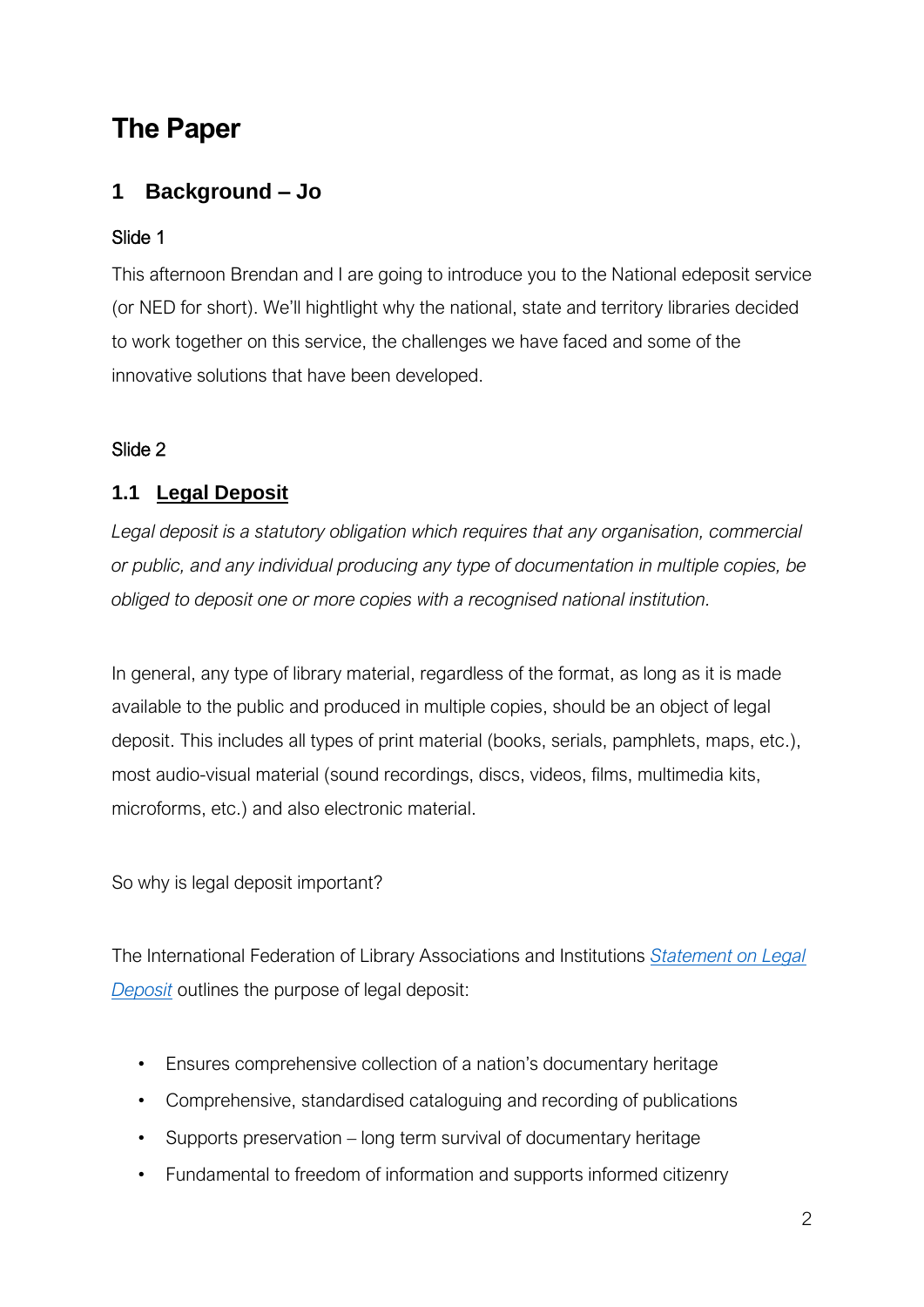# **The Paper**

## **1 Background – Jo**

## Slide 1

This afternoon Brendan and I are going to introduce you to the National edeposit service (or NED for short). We'll hightlight why the national, state and territory libraries decided to work together on this service, the challenges we have faced and some of the innovative solutions that have been developed.

## Slide 2

## **1.1 Legal Deposit**

Legal deposit is a statutory obligation which requires that any organisation, commercial *or public, and any individual producing any type of documentation in multiple copies, be obliged to deposit one or more copies with a recognised national institution.* 

In general, any type of library material, regardless of the format, as long as it is made available to the public and produced in multiple copies, should be an object of legal deposit. This includes all types of print material (books, serials, pamphlets, maps, etc.), most audio-visual material (sound recordings, discs, videos, films, multimedia kits, microforms, etc.) and also electronic material.

So why is legal deposit important?

The International Federation of Library Associations and Institutions *[Statement on Legal](https://www.ifla.org/publications/ifla-statement-on-legal-deposit-2011)  [Deposit](https://www.ifla.org/publications/ifla-statement-on-legal-deposit-2011)* outlines the purpose of legal deposit:

- Ensures comprehensive collection of a nation's documentary heritage
- Comprehensive, standardised cataloguing and recording of publications
- Supports preservation long term survival of documentary heritage
- Fundamental to freedom of information and supports informed citizenry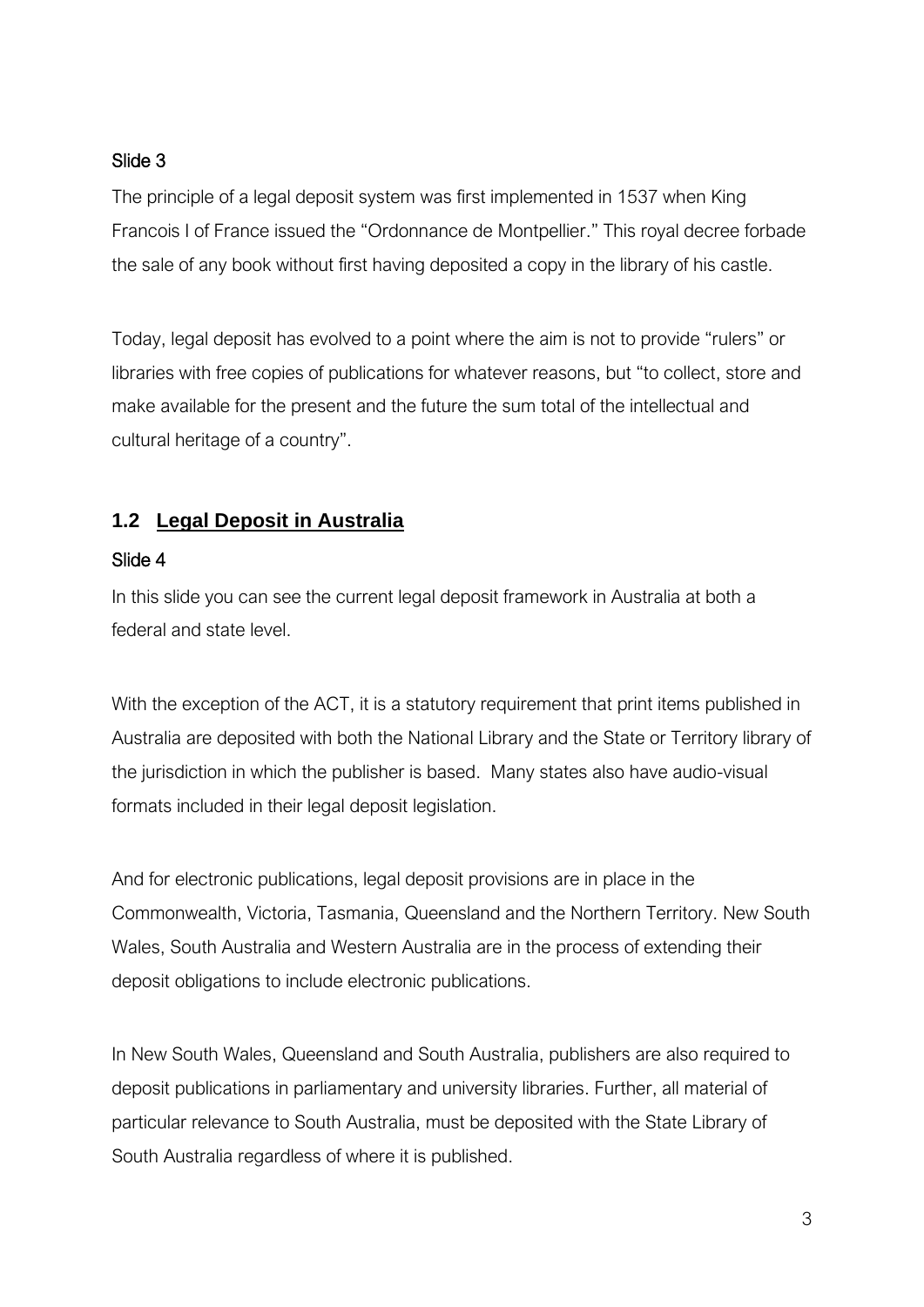#### Slide 3

The principle of a legal deposit system was first implemented in 1537 when King Francois I of France issued the "Ordonnance de Montpellier." This royal decree forbade the sale of any book without first having deposited a copy in the library of his castle.

Today, legal deposit has evolved to a point where the aim is not to provide "rulers" or libraries with free copies of publications for whatever reasons, but "to collect, store and make available for the present and the future the sum total of the intellectual and cultural heritage of a country".

## **1.2 Legal Deposit in Australia**

#### Slide 4

In this slide you can see the current legal deposit framework in Australia at both a federal and state level.

With the exception of the ACT, it is a statutory requirement that print items published in Australia are deposited with both the National Library and the State or Territory library of the jurisdiction in which the publisher is based. Many states also have audio-visual formats included in their legal deposit legislation.

And for electronic publications, legal deposit provisions are in place in the Commonwealth, Victoria, Tasmania, Queensland and the Northern Territory. New South Wales, South Australia and Western Australia are in the process of extending their deposit obligations to include electronic publications.

In New South Wales, Queensland and South Australia, publishers are also required to deposit publications in parliamentary and university libraries. Further, all material of particular relevance to South Australia, must be deposited with the State Library of South Australia regardless of where it is published.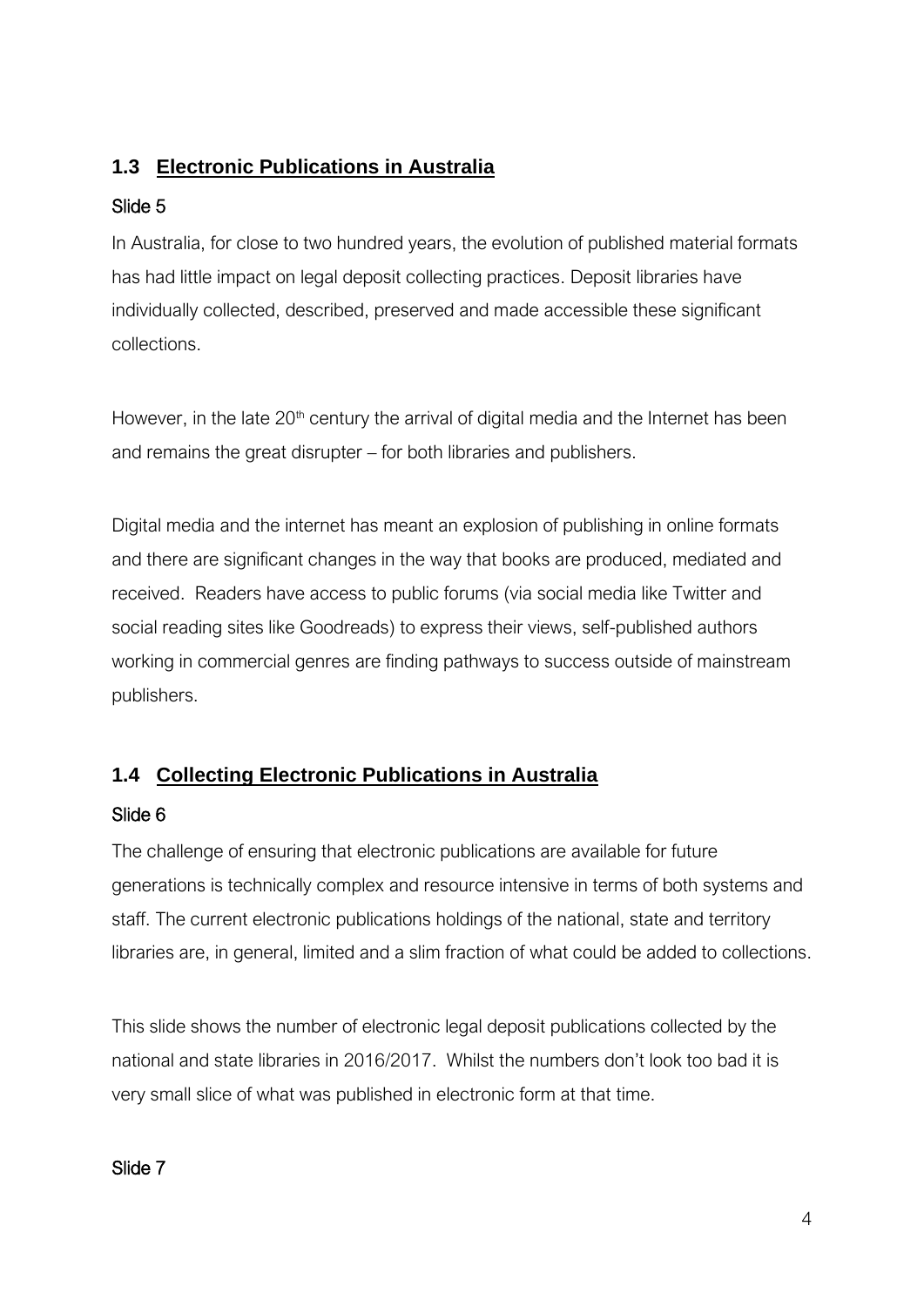## **1.3 Electronic Publications in Australia**

### Slide 5

In Australia, for close to two hundred years, the evolution of published material formats has had little impact on legal deposit collecting practices. Deposit libraries have individually collected, described, preserved and made accessible these significant collections.

However, in the late  $20<sup>th</sup>$  century the arrival of digital media and the Internet has been and remains the great disrupter – for both libraries and publishers.

Digital media and the internet has meant an explosion of publishing in online formats and there are significant changes in the way that books are produced, mediated and received. Readers have access to public forums (via social media like Twitter and social reading sites like Goodreads) to express their views, self-published authors working in commercial genres are finding pathways to success outside of mainstream publishers.

## **1.4 Collecting Electronic Publications in Australia**

## Slide 6

The challenge of ensuring that electronic publications are available for future generations is technically complex and resource intensive in terms of both systems and staff. The current electronic publications holdings of the national, state and territory libraries are, in general, limited and a slim fraction of what could be added to collections.

This slide shows the number of electronic legal deposit publications collected by the national and state libraries in 2016/2017. Whilst the numbers don't look too bad it is very small slice of what was published in electronic form at that time.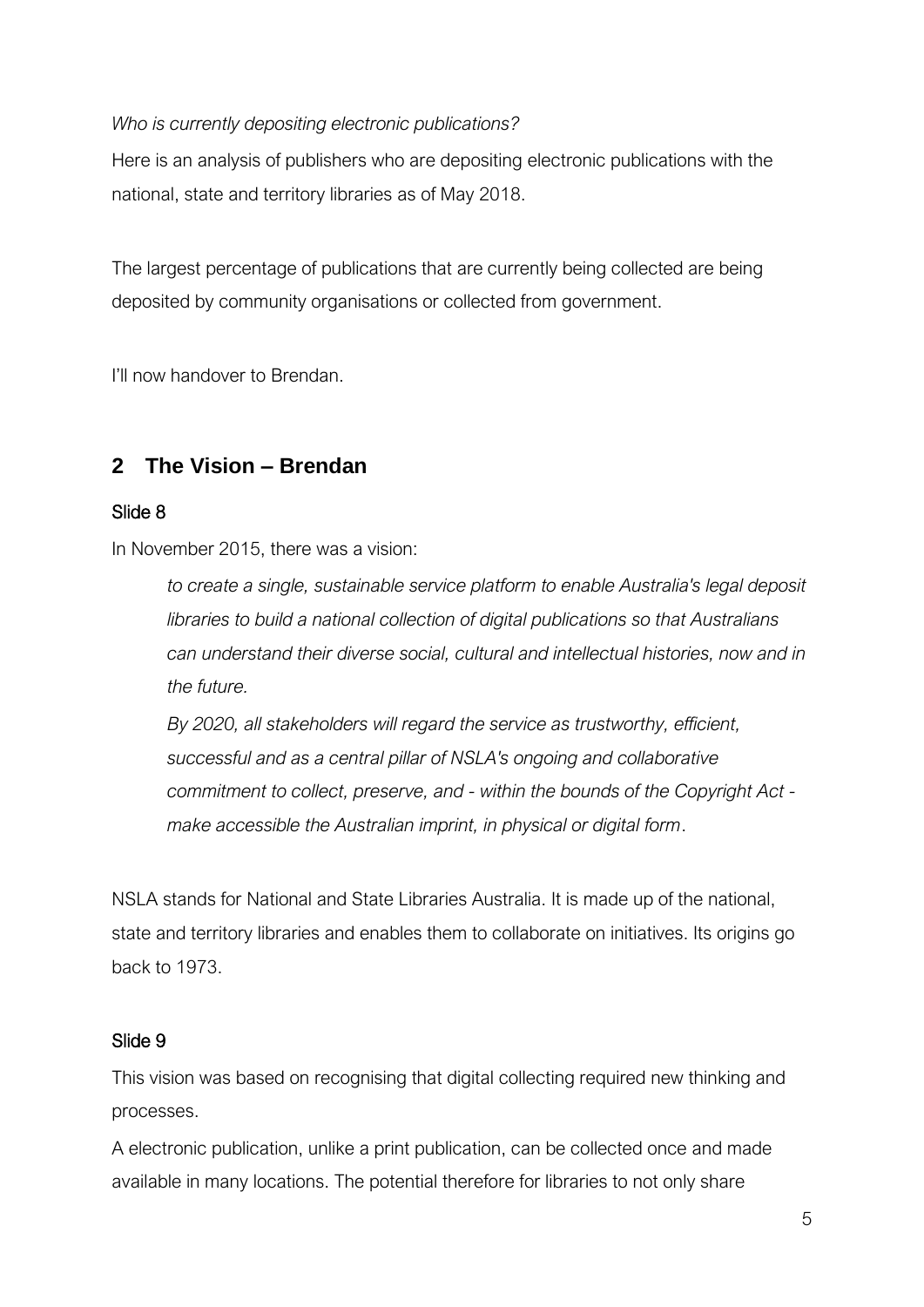#### *Who is currently depositing electronic publications?*

Here is an analysis of publishers who are depositing electronic publications with the national, state and territory libraries as of May 2018.

The largest percentage of publications that are currently being collected are being deposited by community organisations or collected from government.

I'll now handover to Brendan.

## **2 The Vision – Brendan**

#### Slide 8

In November 2015, there was a vision:

*to create a single, sustainable service platform to enable Australia's legal deposit libraries to build a national collection of digital publications so that Australians can understand their diverse social, cultural and intellectual histories, now and in the future.*

*By 2020, all stakeholders will regard the service as trustworthy, efficient, successful and as a central pillar of NSLA's ongoing and collaborative commitment to collect, preserve, and - within the bounds of the Copyright Act make accessible the Australian imprint, in physical or digital form*.

NSLA stands for National and State Libraries Australia. It is made up of the national, state and territory libraries and enables them to collaborate on initiatives. Its origins go back to 1973.

#### Slide 9

This vision was based on recognising that digital collecting required new thinking and processes.

A electronic publication, unlike a print publication, can be collected once and made available in many locations. The potential therefore for libraries to not only share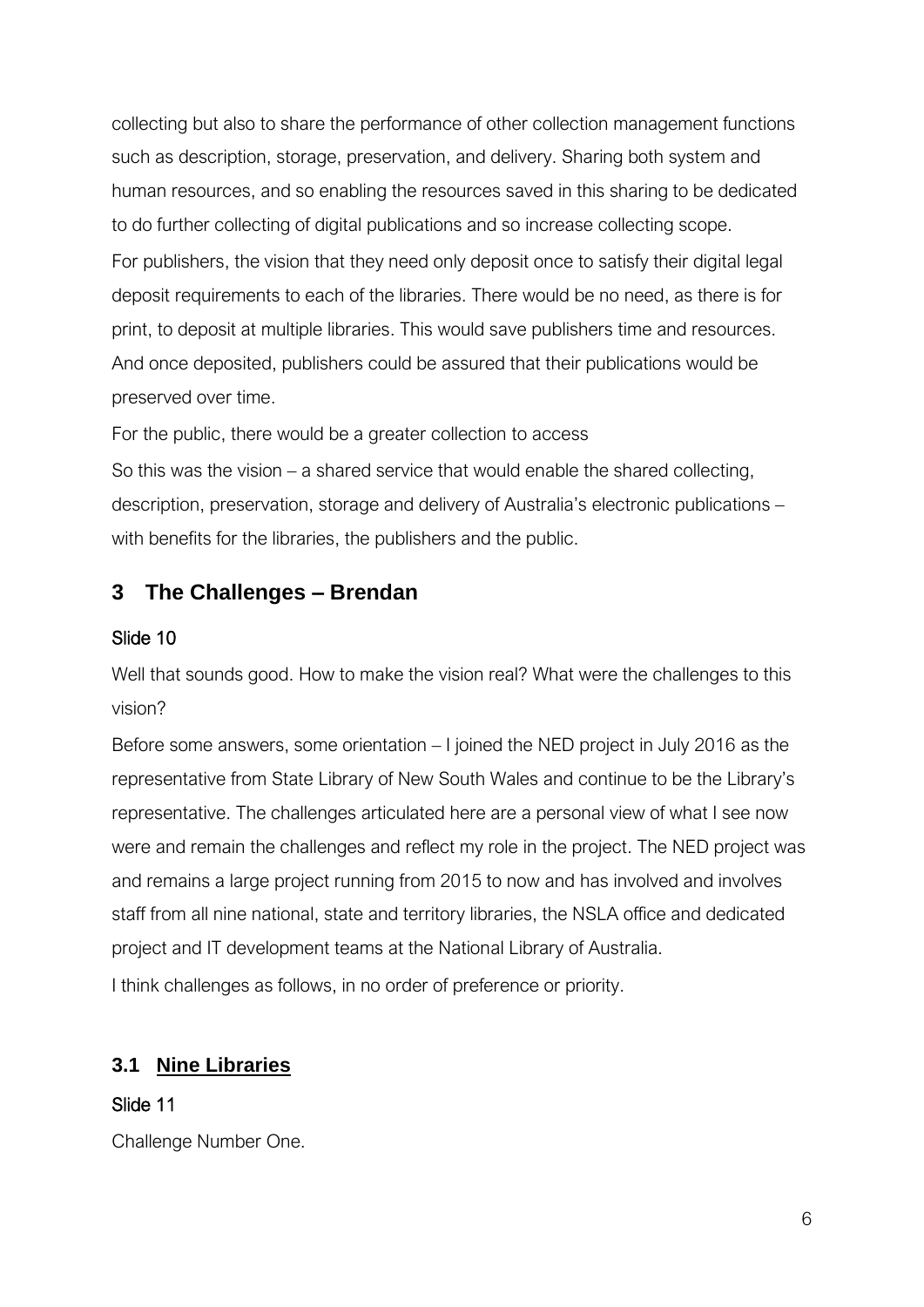collecting but also to share the performance of other collection management functions such as description, storage, preservation, and delivery. Sharing both system and human resources, and so enabling the resources saved in this sharing to be dedicated to do further collecting of digital publications and so increase collecting scope. For publishers, the vision that they need only deposit once to satisfy their digital legal deposit requirements to each of the libraries. There would be no need, as there is for print, to deposit at multiple libraries. This would save publishers time and resources. And once deposited, publishers could be assured that their publications would be preserved over time.

For the public, there would be a greater collection to access

So this was the vision – a shared service that would enable the shared collecting, description, preservation, storage and delivery of Australia's electronic publications – with benefits for the libraries, the publishers and the public.

## **3 The Challenges – Brendan**

#### Slide 10

Well that sounds good. How to make the vision real? What were the challenges to this vision?

Before some answers, some orientation – I joined the NED project in July 2016 as the representative from State Library of New South Wales and continue to be the Library's representative. The challenges articulated here are a personal view of what I see now were and remain the challenges and reflect my role in the project. The NED project was and remains a large project running from 2015 to now and has involved and involves staff from all nine national, state and territory libraries, the NSLA office and dedicated project and IT development teams at the National Library of Australia. I think challenges as follows, in no order of preference or priority.

## **3.1 Nine Libraries**

Slide 11

Challenge Number One.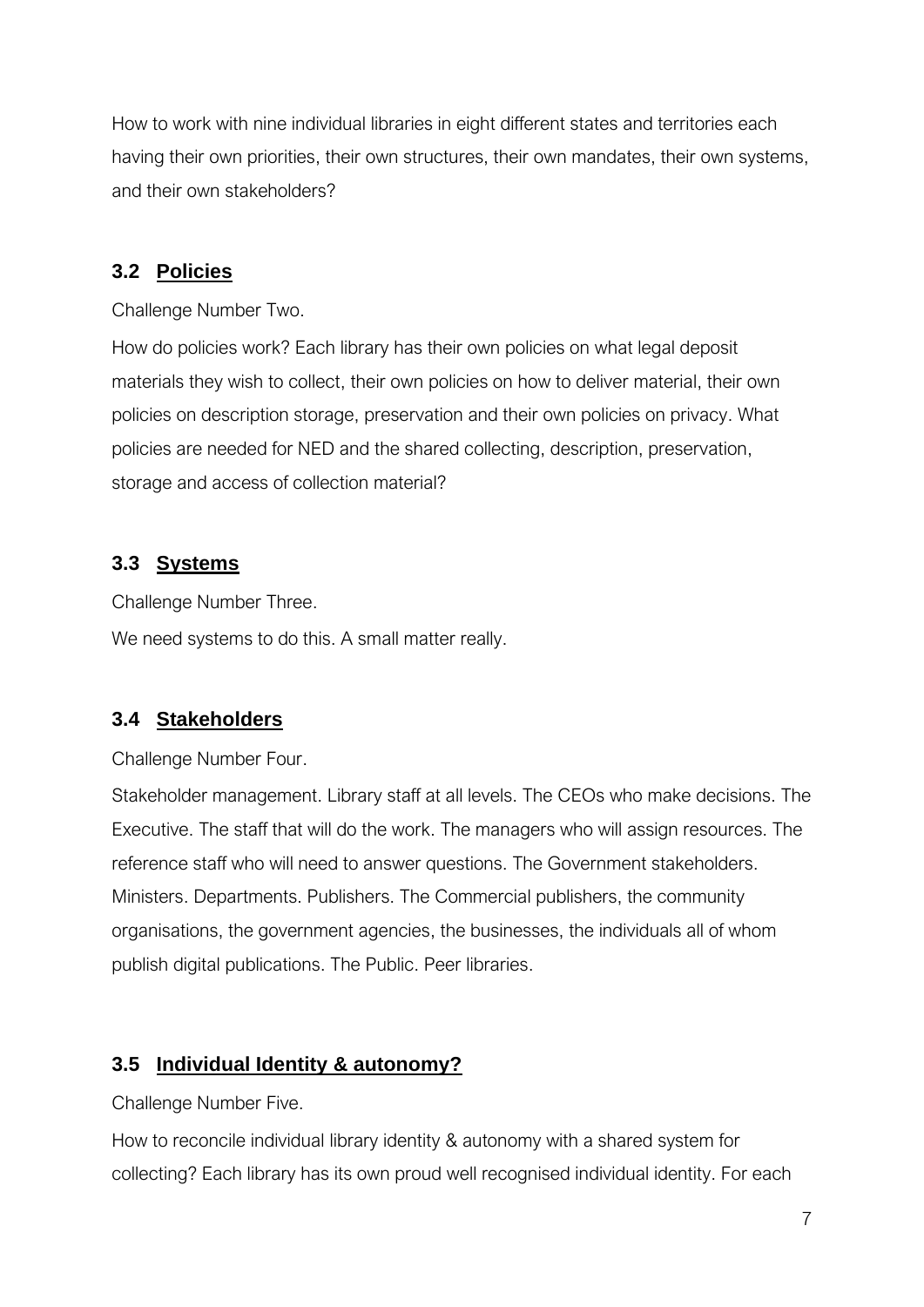How to work with nine individual libraries in eight different states and territories each having their own priorities, their own structures, their own mandates, their own systems, and their own stakeholders?

#### **3.2 Policies**

Challenge Number Two.

How do policies work? Each library has their own policies on what legal deposit materials they wish to collect, their own policies on how to deliver material, their own policies on description storage, preservation and their own policies on privacy. What policies are needed for NED and the shared collecting, description, preservation, storage and access of collection material?

#### **3.3 Systems**

Challenge Number Three.

We need systems to do this. A small matter really.

#### **3.4 Stakeholders**

Challenge Number Four.

Stakeholder management. Library staff at all levels. The CEOs who make decisions. The Executive. The staff that will do the work. The managers who will assign resources. The reference staff who will need to answer questions. The Government stakeholders. Ministers. Departments. Publishers. The Commercial publishers, the community organisations, the government agencies, the businesses, the individuals all of whom publish digital publications. The Public. Peer libraries.

### **3.5 Individual Identity & autonomy?**

Challenge Number Five.

How to reconcile individual library identity & autonomy with a shared system for collecting? Each library has its own proud well recognised individual identity. For each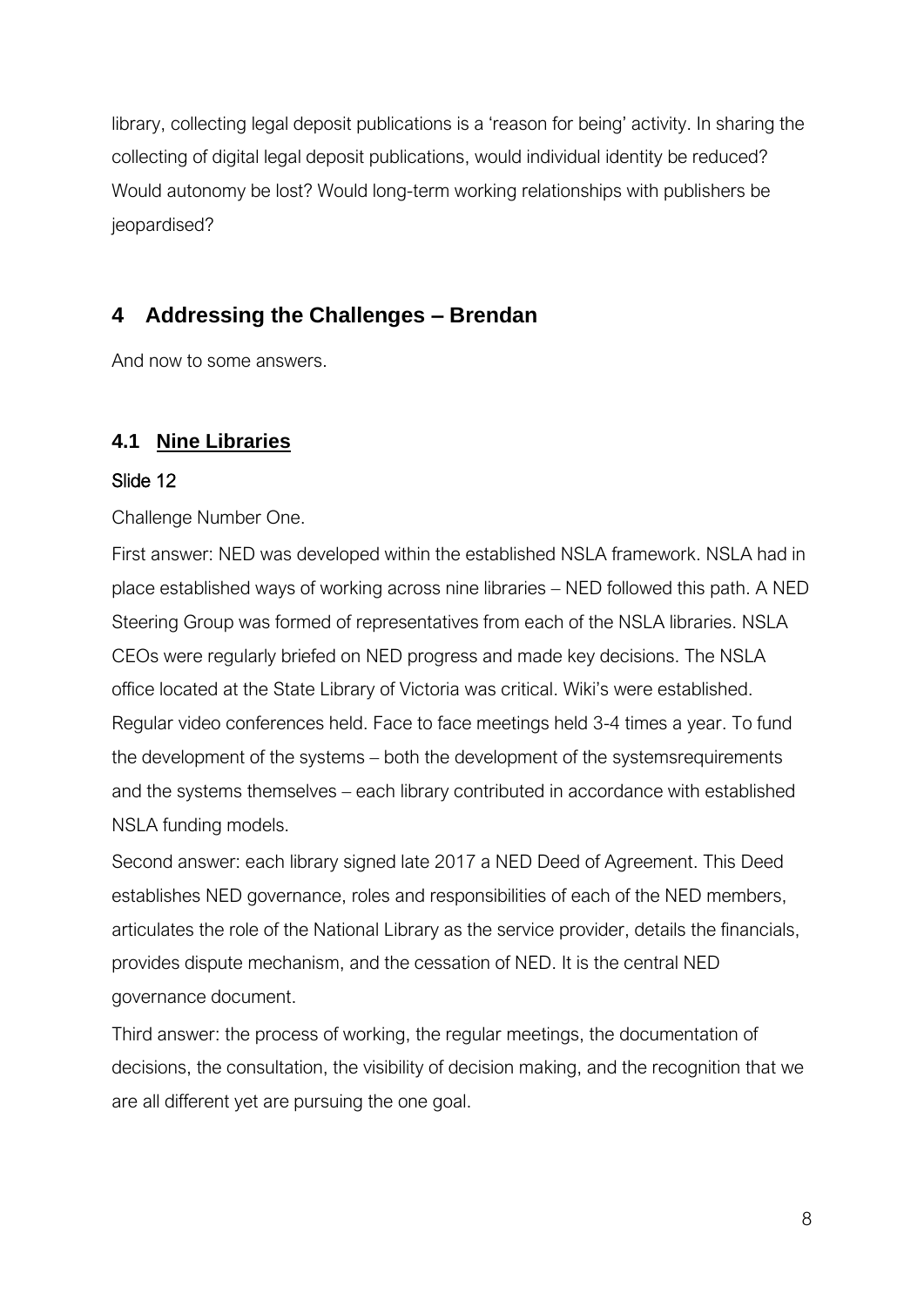library, collecting legal deposit publications is a 'reason for being' activity. In sharing the collecting of digital legal deposit publications, would individual identity be reduced? Would autonomy be lost? Would long-term working relationships with publishers be jeopardised?

## **4 Addressing the Challenges – Brendan**

And now to some answers.

## **4.1 Nine Libraries**

#### Slide 12

Challenge Number One.

First answer: NED was developed within the established NSLA framework. NSLA had in place established ways of working across nine libraries – NED followed this path. A NED Steering Group was formed of representatives from each of the NSLA libraries. NSLA CEOs were regularly briefed on NED progress and made key decisions. The NSLA office located at the State Library of Victoria was critical. Wiki's were established. Regular video conferences held. Face to face meetings held 3-4 times a year. To fund the development of the systems – both the development of the systemsrequirements and the systems themselves – each library contributed in accordance with established NSLA funding models.

Second answer: each library signed late 2017 a NED Deed of Agreement. This Deed establishes NED governance, roles and responsibilities of each of the NED members, articulates the role of the National Library as the service provider, details the financials, provides dispute mechanism, and the cessation of NED. It is the central NED governance document.

Third answer: the process of working, the regular meetings, the documentation of decisions, the consultation, the visibility of decision making, and the recognition that we are all different yet are pursuing the one goal.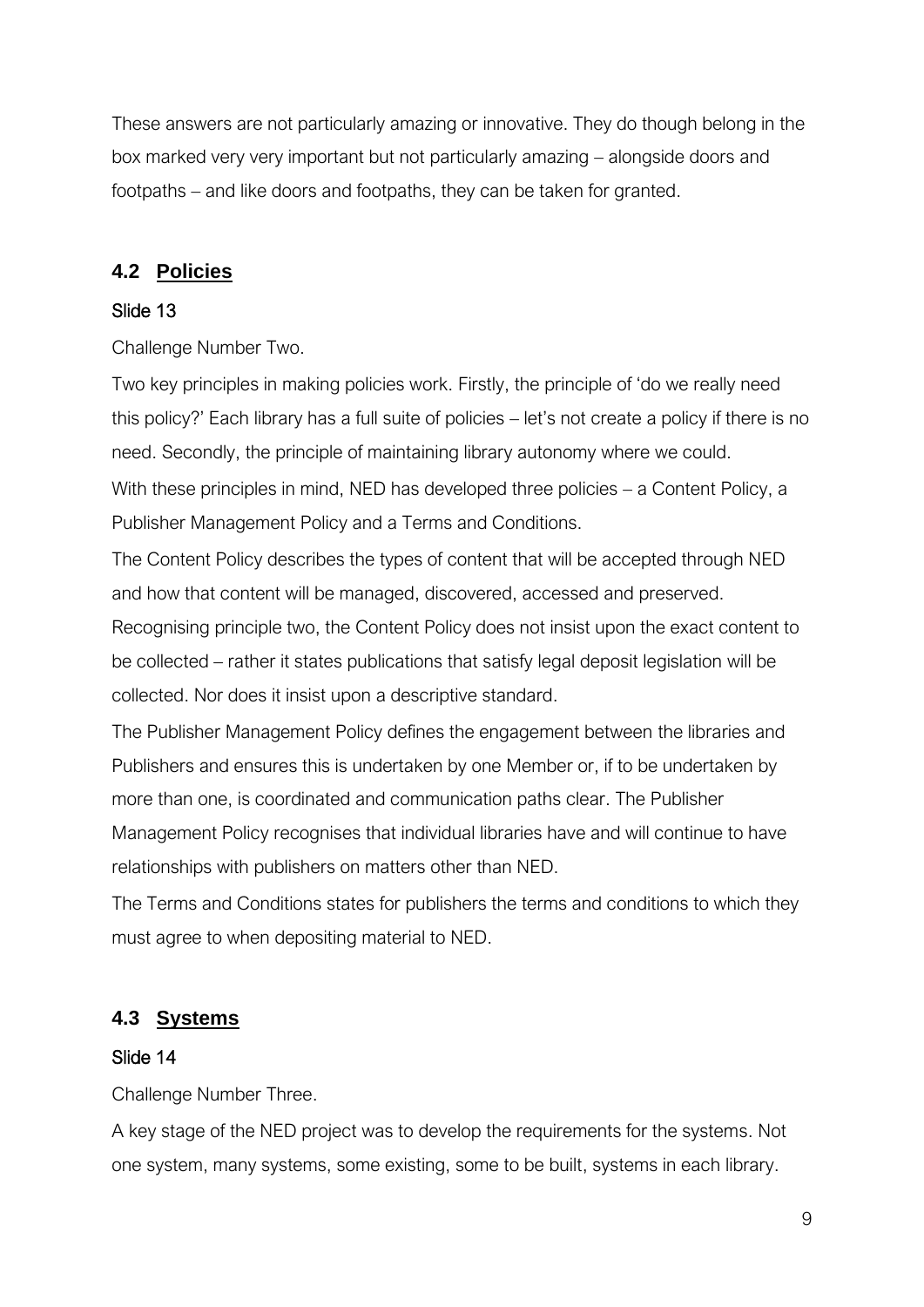These answers are not particularly amazing or innovative. They do though belong in the box marked very very important but not particularly amazing – alongside doors and footpaths – and like doors and footpaths, they can be taken for granted.

## **4.2 Policies**

#### Slide 13

Challenge Number Two.

Two key principles in making policies work. Firstly, the principle of 'do we really need this policy?' Each library has a full suite of policies – let's not create a policy if there is no need. Secondly, the principle of maintaining library autonomy where we could. With these principles in mind, NED has developed three policies – a Content Policy, a Publisher Management Policy and a Terms and Conditions.

The Content Policy describes the types of content that will be accepted through NED and how that content will be managed, discovered, accessed and preserved.

Recognising principle two, the Content Policy does not insist upon the exact content to be collected – rather it states publications that satisfy legal deposit legislation will be collected. Nor does it insist upon a descriptive standard.

The Publisher Management Policy defines the engagement between the libraries and Publishers and ensures this is undertaken by one Member or, if to be undertaken by more than one, is coordinated and communication paths clear. The Publisher Management Policy recognises that individual libraries have and will continue to have relationships with publishers on matters other than NED.

The Terms and Conditions states for publishers the terms and conditions to which they must agree to when depositing material to NED.

## **4.3 Systems**

#### Slide 14

Challenge Number Three.

A key stage of the NED project was to develop the requirements for the systems. Not one system, many systems, some existing, some to be built, systems in each library.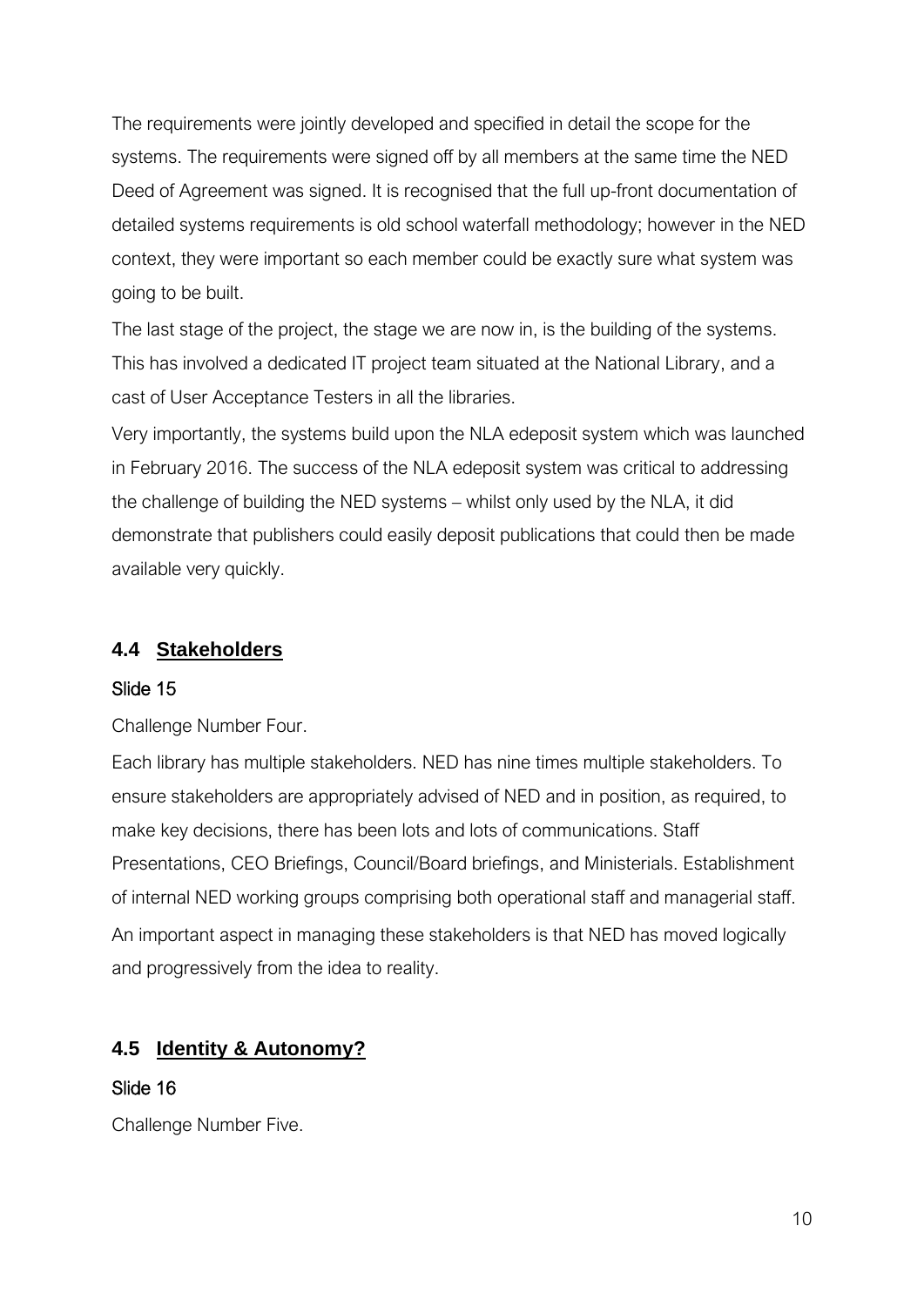The requirements were jointly developed and specified in detail the scope for the systems. The requirements were signed off by all members at the same time the NED Deed of Agreement was signed. It is recognised that the full up-front documentation of detailed systems requirements is old school waterfall methodology; however in the NED context, they were important so each member could be exactly sure what system was going to be built.

The last stage of the project, the stage we are now in, is the building of the systems. This has involved a dedicated IT project team situated at the National Library, and a cast of User Acceptance Testers in all the libraries.

Very importantly, the systems build upon the NLA edeposit system which was launched in February 2016. The success of the NLA edeposit system was critical to addressing the challenge of building the NED systems – whilst only used by the NLA, it did demonstrate that publishers could easily deposit publications that could then be made available very quickly.

### **4.4 Stakeholders**

#### Slide 15

Challenge Number Four.

Each library has multiple stakeholders. NED has nine times multiple stakeholders. To ensure stakeholders are appropriately advised of NED and in position, as required, to make key decisions, there has been lots and lots of communications. Staff Presentations, CEO Briefings, Council/Board briefings, and Ministerials. Establishment of internal NED working groups comprising both operational staff and managerial staff. An important aspect in managing these stakeholders is that NED has moved logically and progressively from the idea to reality.

## **4.5 Identity & Autonomy?**

#### Slide 16

Challenge Number Five.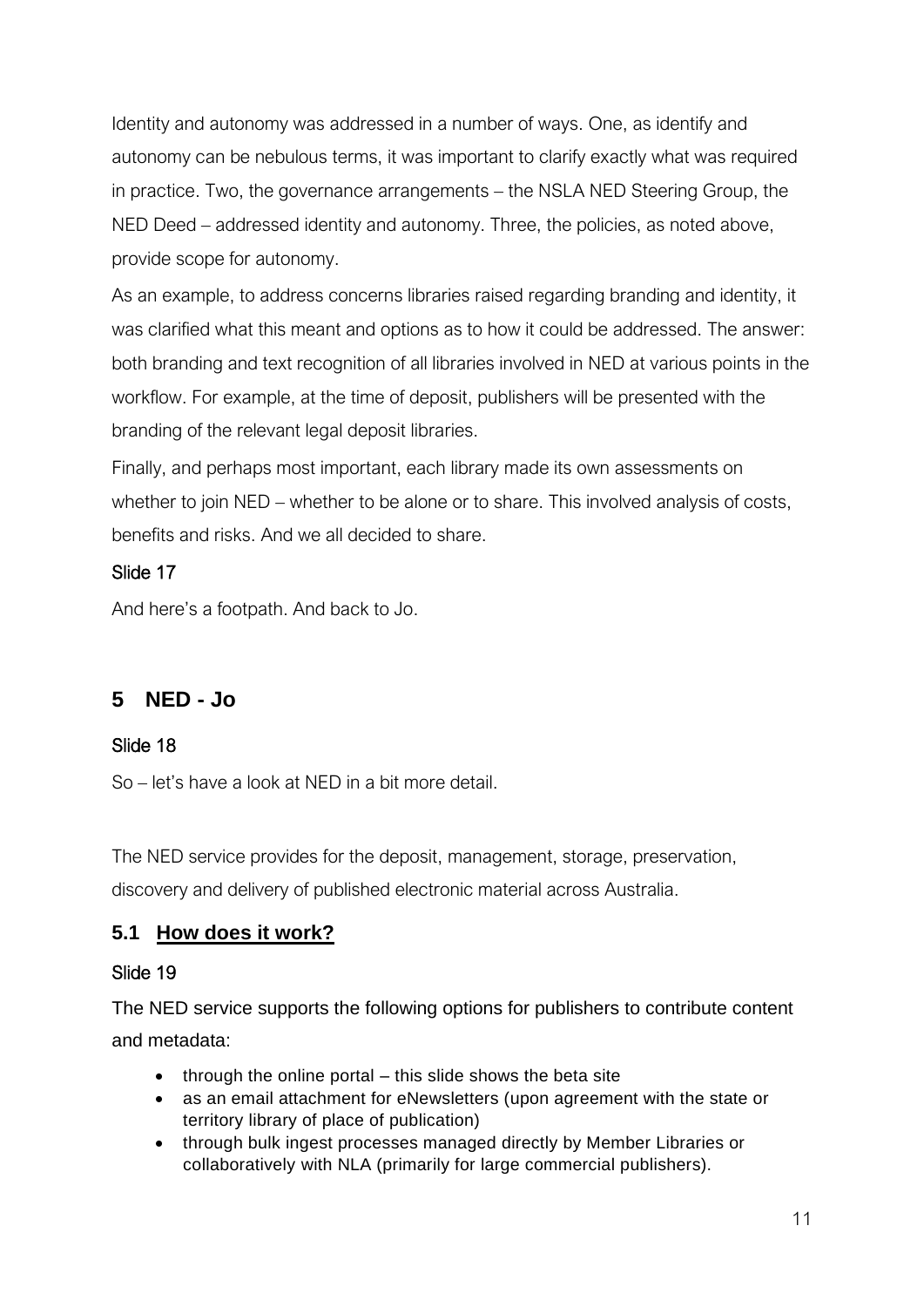Identity and autonomy was addressed in a number of ways. One, as identify and autonomy can be nebulous terms, it was important to clarify exactly what was required in practice. Two, the governance arrangements – the NSLA NED Steering Group, the NED Deed – addressed identity and autonomy. Three, the policies, as noted above, provide scope for autonomy.

As an example, to address concerns libraries raised regarding branding and identity, it was clarified what this meant and options as to how it could be addressed. The answer: both branding and text recognition of all libraries involved in NED at various points in the workflow. For example, at the time of deposit, publishers will be presented with the branding of the relevant legal deposit libraries.

Finally, and perhaps most important, each library made its own assessments on whether to join NED – whether to be alone or to share. This involved analysis of costs, benefits and risks. And we all decided to share.

## Slide 17

And here's a footpath. And back to Jo.

## **5 NED - Jo**

## Slide 18

So – let's have a look at NED in a bit more detail.

The NED service provides for the deposit, management, storage, preservation,

discovery and delivery of published electronic material across Australia.

## **5.1 How does it work?**

#### Slide 19

The NED service supports the following options for publishers to contribute content and metadata:

- through the online portal this slide shows the beta site
- as an email attachment for eNewsletters (upon agreement with the state or territory library of place of publication)
- through bulk ingest processes managed directly by Member Libraries or collaboratively with NLA (primarily for large commercial publishers).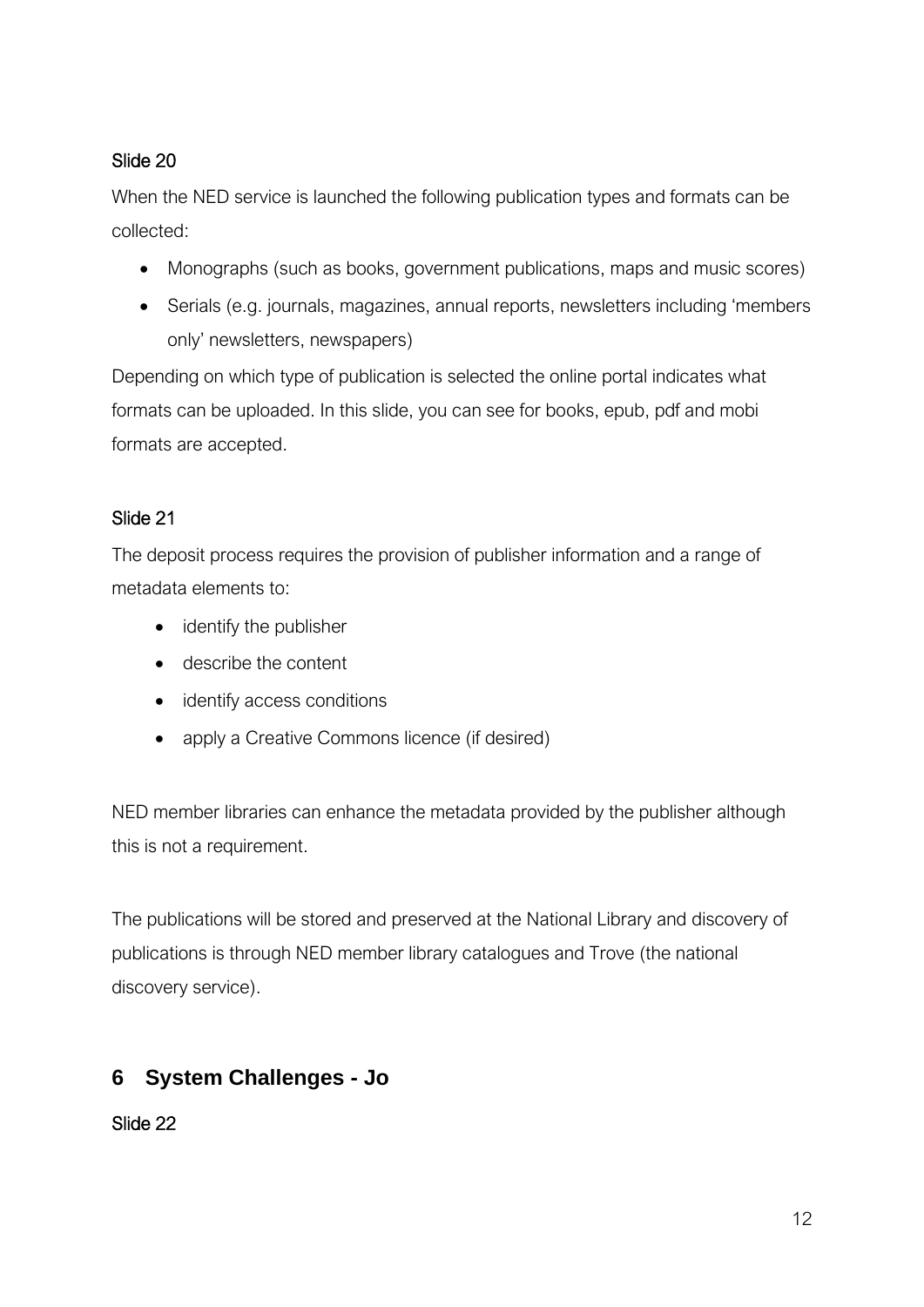## Slide 20

When the NED service is launched the following publication types and formats can be collected:

- Monographs (such as books, government publications, maps and music scores)
- Serials (e.g. journals, magazines, annual reports, newsletters including 'members only' newsletters, newspapers)

Depending on which type of publication is selected the online portal indicates what formats can be uploaded. In this slide, you can see for books, epub, pdf and mobi formats are accepted.

## Slide 21

The deposit process requires the provision of publisher information and a range of metadata elements to:

- identify the publisher
- describe the content
- identify access conditions
- apply a Creative Commons licence (if desired)

NED member libraries can enhance the metadata provided by the publisher although this is not a requirement.

The publications will be stored and preserved at the National Library and discovery of publications is through NED member library catalogues and Trove (the national discovery service).

## **6 System Challenges - Jo**

Slide 22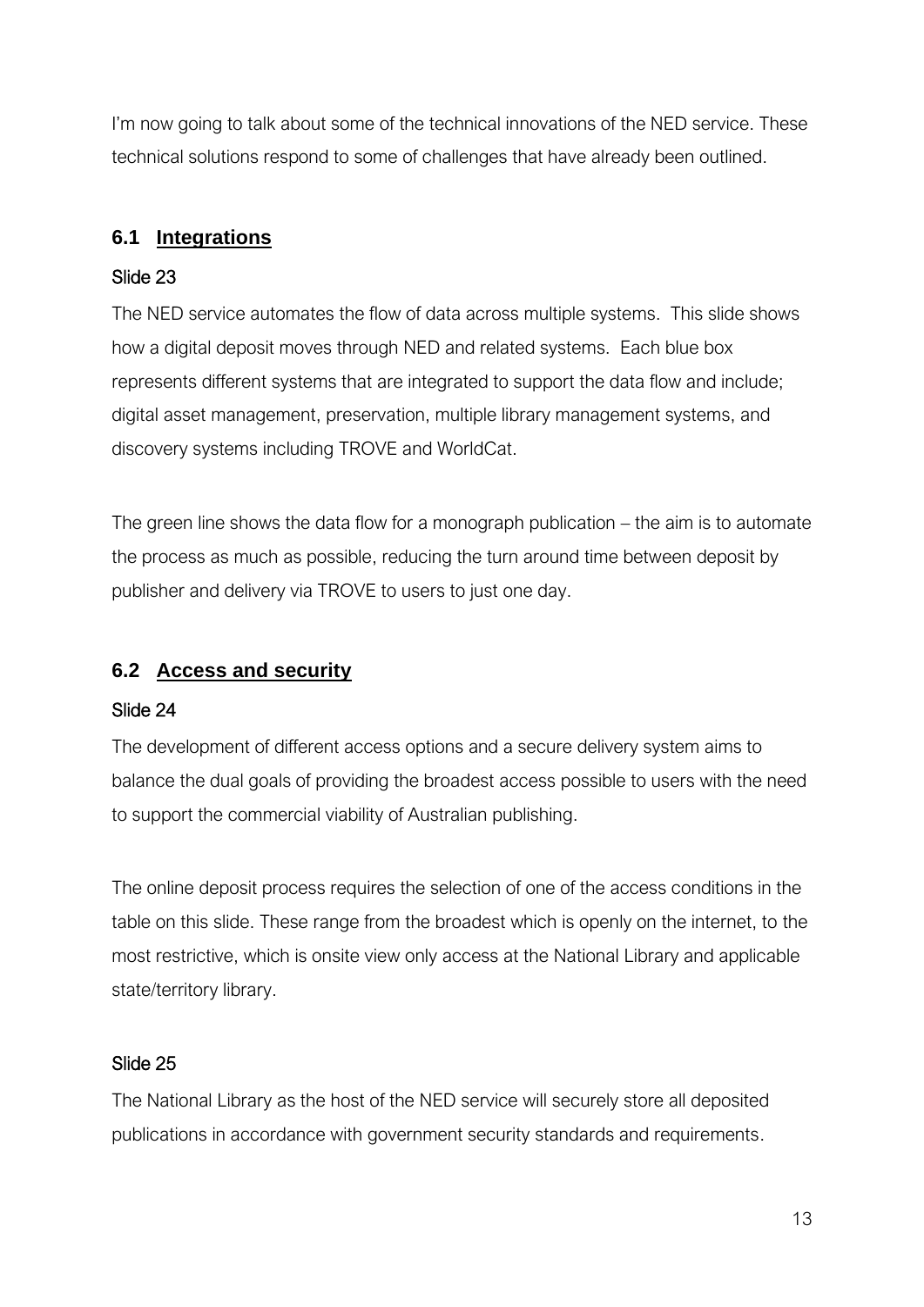I'm now going to talk about some of the technical innovations of the NED service. These technical solutions respond to some of challenges that have already been outlined.

## **6.1 Integrations**

### Slide 23

The NED service automates the flow of data across multiple systems. This slide shows how a digital deposit moves through NED and related systems. Each blue box represents different systems that are integrated to support the data flow and include; digital asset management, preservation, multiple library management systems, and discovery systems including TROVE and WorldCat.

The green line shows the data flow for a monograph publication – the aim is to automate the process as much as possible, reducing the turn around time between deposit by publisher and delivery via TROVE to users to just one day.

## **6.2 Access and security**

#### Slide 24

The development of different access options and a secure delivery system aims to balance the dual goals of providing the broadest access possible to users with the need to support the commercial viability of Australian publishing.

The online deposit process requires the selection of one of the access conditions in the table on this slide. These range from the broadest which is openly on the internet, to the most restrictive, which is onsite view only access at the National Library and applicable state/territory library.

## Slide 25

The National Library as the host of the NED service will securely store all deposited publications in accordance with government security standards and requirements.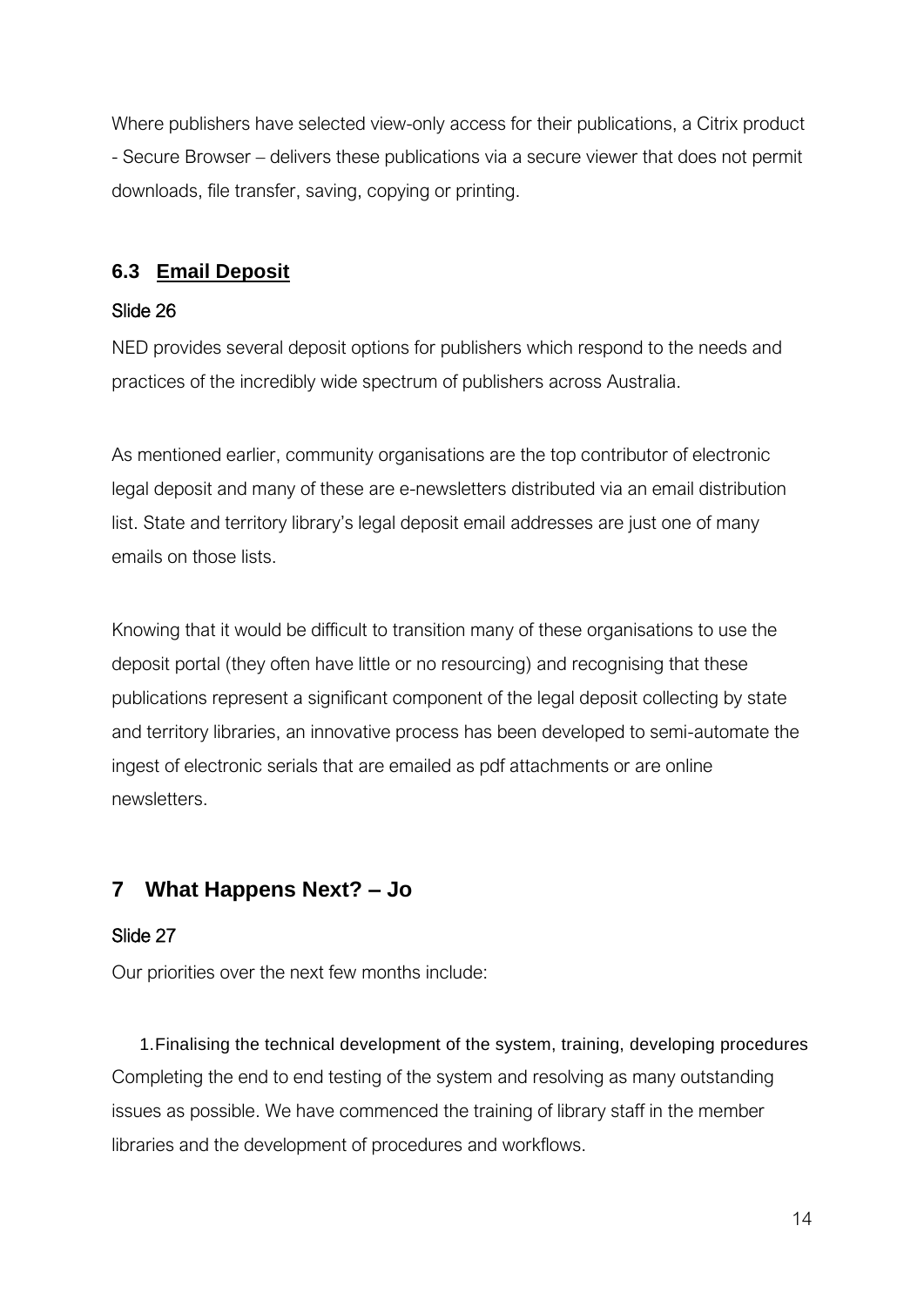Where publishers have selected view-only access for their publications, a Citrix product - Secure Browser – delivers these publications via a secure viewer that does not permit downloads, file transfer, saving, copying or printing.

## **6.3 Email Deposit**

#### Slide 26

NED provides several deposit options for publishers which respond to the needs and practices of the incredibly wide spectrum of publishers across Australia.

As mentioned earlier, community organisations are the top contributor of electronic legal deposit and many of these are e-newsletters distributed via an email distribution list. State and territory library's legal deposit email addresses are just one of many emails on those lists.

Knowing that it would be difficult to transition many of these organisations to use the deposit portal (they often have little or no resourcing) and recognising that these publications represent a significant component of the legal deposit collecting by state and territory libraries, an innovative process has been developed to semi-automate the ingest of electronic serials that are emailed as pdf attachments or are online newsletters.

## **7 What Happens Next? – Jo**

#### Slide 27

Our priorities over the next few months include:

1.Finalising the technical development of the system, training, developing procedures Completing the end to end testing of the system and resolving as many outstanding issues as possible. We have commenced the training of library staff in the member libraries and the development of procedures and workflows.